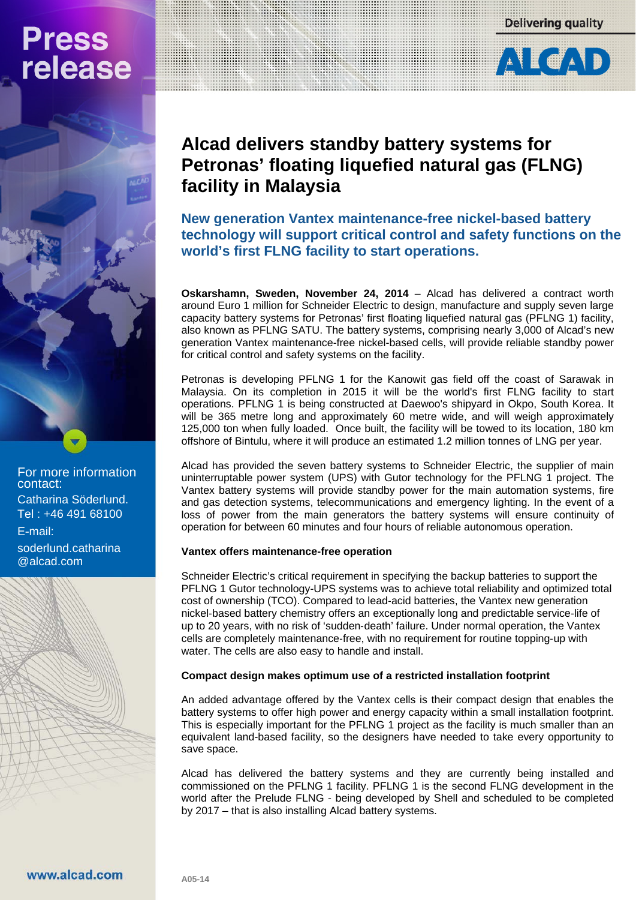## **Press** release

**Delivering quality** 



### **Alcad delivers standby battery systems for Petronas' floating liquefied natural gas (FLNG) facility in Malaysia**

**New generation Vantex maintenance-free nickel-based battery technology will support critical control and safety functions on the world's first FLNG facility to start operations.**

**Oskarshamn, Sweden, November 24, 2014** – Alcad has delivered a contract worth around Euro 1 million for Schneider Electric to design, manufacture and supply seven large capacity battery systems for Petronas' first floating liquefied natural gas (PFLNG 1) facility, also known as PFLNG SATU. The battery systems, comprising nearly 3,000 of Alcad's new generation Vantex maintenance-free nickel-based cells, will provide reliable standby power for critical control and safety systems on the facility.

Petronas is developing PFLNG 1 for the Kanowit gas field off the coast of Sarawak in Malaysia. On its completion in 2015 it will be the world's first FLNG facility to start operations. PFLNG 1 is being constructed at Daewoo's shipyard in Okpo, South Korea. It will be 365 metre long and approximately 60 metre wide, and will weigh approximately 125,000 ton when fully loaded. Once built, the facility will be towed to its location, 180 km offshore of Bintulu, where it will produce an estimated 1.2 million tonnes of LNG per year.

Alcad has provided the seven battery systems to Schneider Electric, the supplier of main uninterruptable power system (UPS) with Gutor technology for the PFLNG 1 project. The Vantex battery systems will provide standby power for the main automation systems, fire and gas detection systems, telecommunications and emergency lighting. In the event of a loss of power from the main generators the battery systems will ensure continuity of operation for between 60 minutes and four hours of reliable autonomous operation.

#### **Vantex offers maintenance-free operation**

Schneider Electric's critical requirement in specifying the backup batteries to support the PFLNG 1 Gutor technology-UPS systems was to achieve total reliability and optimized total cost of ownership (TCO). Compared to lead‐acid batteries, the Vantex new generation nickel‐based battery chemistry offers an exceptionally long and predictable service‐life of up to 20 years, with no risk of 'sudden‐death' failure. Under normal operation, the Vantex cells are completely maintenance‐free, with no requirement for routine topping‐up with water. The cells are also easy to handle and install.

#### **Compact design makes optimum use of a restricted installation footprint**

An added advantage offered by the Vantex cells is their compact design that enables the battery systems to offer high power and energy capacity within a small installation footprint. This is especially important for the PFLNG 1 project as the facility is much smaller than an equivalent land-based facility, so the designers have needed to take every opportunity to save space.

Alcad has delivered the battery systems and they are currently being installed and commissioned on the PFLNG 1 facility. PFLNG 1 is the second FLNG development in the world after the Prelude FLNG - being developed by Shell and scheduled to be completed by 2017 – that is also installing Alcad battery systems.

For more information contact: Catharina Söderlund. Tel : +46 491 68100 E‐mail:

soderlund.catharina @alcad.com

**A05-14**